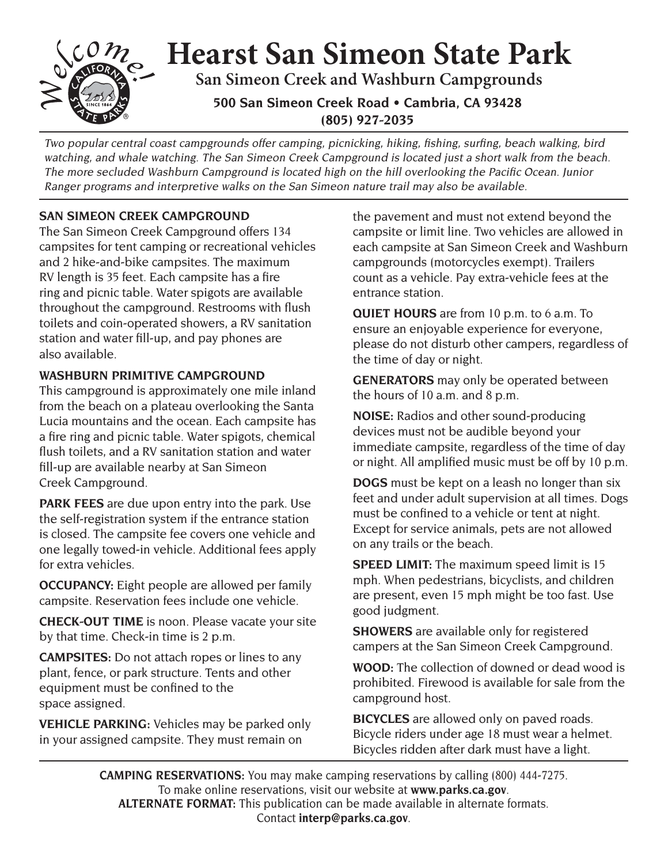## **Hearst San Simeon State Park San Simeon Creek and Washburn Campgrounds 500 San Simeon Creek Road • Cambria, CA 93428 (805) 927-2035**

Two popular central coast campgrounds offer camping, picnicking, hiking, fishing, surfing, beach walking, bird watching, and whale watching. The San Simeon Creek Campground is located just a short walk from the beach. The more secluded Washburn Campground is located high on the hill overlooking the Pacific Ocean. Junior Ranger programs and interpretive walks on the San Simeon nature trail may also be available.

## **SAN SIMEON CREEK CAMPGROUND**

The San Simeon Creek Campground offers 134 campsites for tent camping or recreational vehicles and 2 hike-and-bike campsites. The maximum RV length is 35 feet. Each campsite has a fire ring and picnic table. Water spigots are available throughout the campground. Restrooms with flush toilets and coin-operated showers, a RV sanitation station and water fill-up, and pay phones are also available.

## **WASHBURN PRIMITIVE CAMPGROUND**

This campground is approximately one mile inland from the beach on a plateau overlooking the Santa Lucia mountains and the ocean. Each campsite has a fire ring and picnic table. Water spigots, chemical flush toilets, and a RV sanitation station and water fill-up are available nearby at San Simeon Creek Campground.

**PARK FEES** are due upon entry into the park. Use the self-registration system if the entrance station is closed. The campsite fee covers one vehicle and one legally towed-in vehicle. Additional fees apply for extra vehicles.

**OCCUPANCY:** Eight people are allowed per family campsite. Reservation fees include one vehicle.

**CHECK-OUT TIME** is noon. Please vacate your site by that time. Check-in time is 2 p.m.

 equipment must be confined to the **CAMPSITES:** Do not attach ropes or lines to any plant, fence, or park structure. Tents and other space assigned.

**VEHICLE PARKING:** Vehicles may be parked only in your assigned campsite. They must remain on

the pavement and must not extend beyond the campsite or limit line. Two vehicles are allowed in each campsite at San Simeon Creek and Washburn campgrounds (motorcycles exempt). Trailers count as a vehicle. Pay extra-vehicle fees at the entrance station.

**QUIET HOURS** are from 10 p.m. to 6 a.m. To ensure an enjoyable experience for everyone, please do not disturb other campers, regardless of the time of day or night.

**GENERATORS** may only be operated between the hours of 10 a.m. and 8 p.m.

**NOISE:** Radios and other sound-producing devices must not be audible beyond your immediate campsite, regardless of the time of day or night. All amplified music must be off by 10 p.m.

**DOGS** must be kept on a leash no longer than six feet and under adult supervision at all times. Dogs must be confined to a vehicle or tent at night. Except for service animals, pets are not allowed on any trails or the beach.

**SPEED LIMIT:** The maximum speed limit is 15 mph. When pedestrians, bicyclists, and children are present, even 15 mph might be too fast. Use good judgment.

**SHOWERS** are available only for registered campers at the San Simeon Creek Campground.

**WOOD:** The collection of downed or dead wood is prohibited. Firewood is available for sale from the campground host.

**BICYCLES** are allowed only on paved roads. **BICYCLES** are allowed only on paved roads.<br>Bicycle riders under age 18 must wear a helmet.<br>Bicycles ridden after dark must have a light.

**CAMPING RESERVATIONS:** You may make camping reservations by calling (800) 444-7275. To make online reservations, visit our website at **www.parks.ca.gov**. **ALTERNATE FORMAT:** This publication can be made available in alternate formats. Contact **interp@parks.ca.gov**.